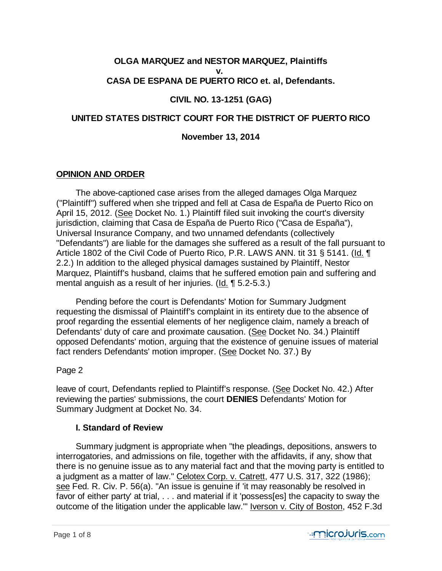# **OLGA MARQUEZ and NESTOR MARQUEZ, Plaintiffs**

**v.** 

## **CASA DE ESPANA DE PUERTO RICO et. al, Defendants.**

## **CIVIL NO. 13-1251 (GAG)**

## **UNITED STATES DISTRICT COURT FOR THE DISTRICT OF PUERTO RICO**

## **November 13, 2014**

## **OPINION AND ORDER**

 The above-captioned case arises from the alleged damages Olga Marquez ("Plaintiff") suffered when she tripped and fell at Casa de España de Puerto Rico on April 15, 2012. (See Docket No. 1.) Plaintiff filed suit invoking the court's diversity jurisdiction, claiming that Casa de España de Puerto Rico ("Casa de España"), Universal Insurance Company, and two unnamed defendants (collectively "Defendants") are liable for the damages she suffered as a result of the fall pursuant to Article 1802 of the Civil Code of Puerto Rico, P.R. LAWS ANN. tit 31 § 5141. (Id. ¶ 2.2.) In addition to the alleged physical damages sustained by Plaintiff, Nestor Marquez, Plaintiff's husband, claims that he suffered emotion pain and suffering and mental anguish as a result of her injuries. (Id. ¶ 5.2-5.3.)

 Pending before the court is Defendants' Motion for Summary Judgment requesting the dismissal of Plaintiff's complaint in its entirety due to the absence of proof regarding the essential elements of her negligence claim, namely a breach of Defendants' duty of care and proximate causation. (See Docket No. 34.) Plaintiff opposed Defendants' motion, arguing that the existence of genuine issues of material fact renders Defendants' motion improper. (See Docket No. 37.) By

## Page 2

leave of court, Defendants replied to Plaintiff's response. (See Docket No. 42.) After reviewing the parties' submissions, the court **DENIES** Defendants' Motion for Summary Judgment at Docket No. 34.

## **I. Standard of Review**

 Summary judgment is appropriate when "the pleadings, depositions, answers to interrogatories, and admissions on file, together with the affidavits, if any, show that there is no genuine issue as to any material fact and that the moving party is entitled to a judgment as a matter of law." Celotex Corp. v. Catrett, 477 U.S. 317, 322 (1986); see Fed. R. Civ. P. 56(a). "An issue is genuine if 'it may reasonably be resolved in favor of either party' at trial, . . . and material if it 'possess[es] the capacity to sway the outcome of the litigation under the applicable law.'" Iverson v. City of Boston, 452 F.3d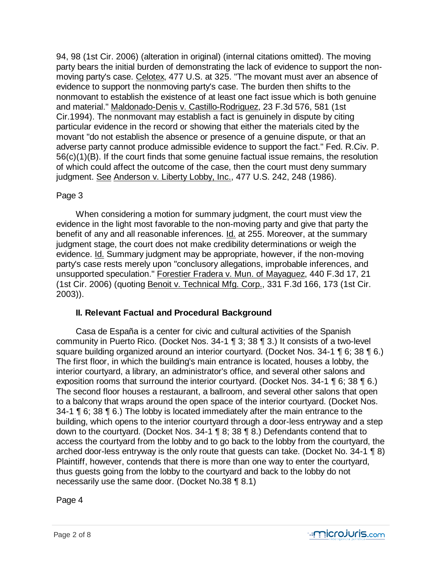94, 98 (1st Cir. 2006) (alteration in original) (internal citations omitted). The moving party bears the initial burden of demonstrating the lack of evidence to support the nonmoving party's case. Celotex, 477 U.S. at 325. "The movant must aver an absence of evidence to support the nonmoving party's case. The burden then shifts to the nonmovant to establish the existence of at least one fact issue which is both genuine and material." Maldonado-Denis v. Castillo-Rodriguez, 23 F.3d 576, 581 (1st Cir.1994). The nonmovant may establish a fact is genuinely in dispute by citing particular evidence in the record or showing that either the materials cited by the movant "do not establish the absence or presence of a genuine dispute, or that an adverse party cannot produce admissible evidence to support the fact." Fed. R.Civ. P. 56(c)(1)(B). If the court finds that some genuine factual issue remains, the resolution of which could affect the outcome of the case, then the court must deny summary judgment. See Anderson v. Liberty Lobby, Inc., 477 U.S. 242, 248 (1986).

#### Page 3

 When considering a motion for summary judgment, the court must view the evidence in the light most favorable to the non-moving party and give that party the benefit of any and all reasonable inferences. Id. at 255. Moreover, at the summary judgment stage, the court does not make credibility determinations or weigh the evidence. Id. Summary judgment may be appropriate, however, if the non-moving party's case rests merely upon "conclusory allegations, improbable inferences, and unsupported speculation." Forestier Fradera v. Mun. of Mayaguez, 440 F.3d 17, 21 (1st Cir. 2006) (quoting Benoit v. Technical Mfg. Corp., 331 F.3d 166, 173 (1st Cir. 2003)).

## **II. Relevant Factual and Procedural Background**

 Casa de España is a center for civic and cultural activities of the Spanish community in Puerto Rico. (Docket Nos. 34-1 ¶ 3; 38 ¶ 3.) It consists of a two-level square building organized around an interior courtyard. (Docket Nos. 34-1 ¶ 6; 38 ¶ 6.) The first floor, in which the building's main entrance is located, houses a lobby, the interior courtyard, a library, an administrator's office, and several other salons and exposition rooms that surround the interior courtyard. (Docket Nos. 34-1 ¶ 6; 38 ¶ 6.) The second floor houses a restaurant, a ballroom, and several other salons that open to a balcony that wraps around the open space of the interior courtyard. (Docket Nos. 34-1 ¶ 6; 38 ¶ 6.) The lobby is located immediately after the main entrance to the building, which opens to the interior courtyard through a door-less entryway and a step down to the courtyard. (Docket Nos. 34-1 ¶ 8; 38 ¶ 8.) Defendants contend that to access the courtyard from the lobby and to go back to the lobby from the courtyard, the arched door-less entryway is the only route that guests can take. (Docket No. 34-1 ¶ 8) Plaintiff, however, contends that there is more than one way to enter the courtyard, thus guests going from the lobby to the courtyard and back to the lobby do not necessarily use the same door. (Docket No.38 ¶ 8.1)

Page 4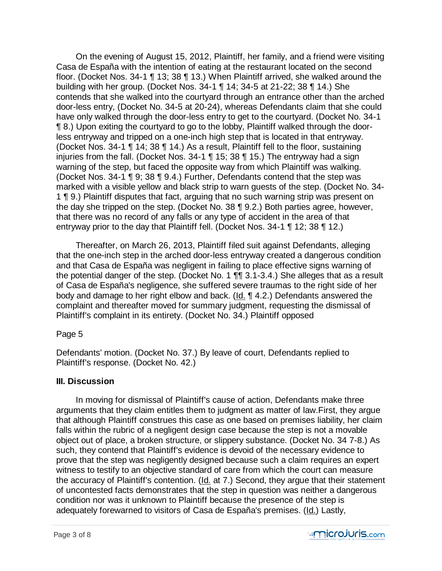On the evening of August 15, 2012, Plaintiff, her family, and a friend were visiting Casa de España with the intention of eating at the restaurant located on the second floor. (Docket Nos. 34-1 ¶ 13; 38 ¶ 13.) When Plaintiff arrived, she walked around the building with her group. (Docket Nos. 34-1 ¶ 14; 34-5 at 21-22; 38 ¶ 14.) She contends that she walked into the courtyard through an entrance other than the arched door-less entry, (Docket No. 34-5 at 20-24), whereas Defendants claim that she could have only walked through the door-less entry to get to the courtyard. (Docket No. 34-1 ¶ 8.) Upon exiting the courtyard to go to the lobby, Plaintiff walked through the doorless entryway and tripped on a one-inch high step that is located in that entryway. (Docket Nos. 34-1 ¶ 14; 38 ¶ 14.) As a result, Plaintiff fell to the floor, sustaining injuries from the fall. (Docket Nos. 34-1 ¶ 15; 38 ¶ 15.) The entryway had a sign warning of the step, but faced the opposite way from which Plaintiff was walking. (Docket Nos. 34-1 ¶ 9; 38 ¶ 9.4.) Further, Defendants contend that the step was marked with a visible yellow and black strip to warn guests of the step. (Docket No. 34- 1 ¶ 9.) Plaintiff disputes that fact, arguing that no such warning strip was present on the day she tripped on the step. (Docket No. 38 ¶ 9.2.) Both parties agree, however, that there was no record of any falls or any type of accident in the area of that entryway prior to the day that Plaintiff fell. (Docket Nos. 34-1 ¶ 12; 38 ¶ 12.)

 Thereafter, on March 26, 2013, Plaintiff filed suit against Defendants, alleging that the one-inch step in the arched door-less entryway created a dangerous condition and that Casa de España was negligent in failing to place effective signs warning of the potential danger of the step. (Docket No. 1 ¶¶ 3.1-3.4.) She alleges that as a result of Casa de España's negligence, she suffered severe traumas to the right side of her body and damage to her right elbow and back. (Id. 14.2.) Defendants answered the complaint and thereafter moved for summary judgment, requesting the dismissal of Plaintiff's complaint in its entirety. (Docket No. 34.) Plaintiff opposed

## Page 5

Defendants' motion. (Docket No. 37.) By leave of court, Defendants replied to Plaintiff's response. (Docket No. 42.)

## **III. Discussion**

 In moving for dismissal of Plaintiff's cause of action, Defendants make three arguments that they claim entitles them to judgment as matter of law.First, they argue that although Plaintiff construes this case as one based on premises liability, her claim falls within the rubric of a negligent design case because the step is not a movable object out of place, a broken structure, or slippery substance. (Docket No. 34 7-8.) As such, they contend that Plaintiff's evidence is devoid of the necessary evidence to prove that the step was negligently designed because such a claim requires an expert witness to testify to an objective standard of care from which the court can measure the accuracy of Plaintiff's contention. (Id. at 7.) Second, they argue that their statement of uncontested facts demonstrates that the step in question was neither a dangerous condition nor was it unknown to Plaintiff because the presence of the step is adequately forewarned to visitors of Casa de España's premises. (Id.) Lastly,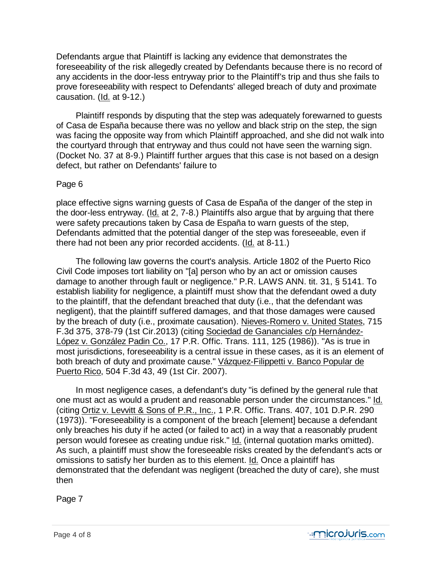Defendants argue that Plaintiff is lacking any evidence that demonstrates the foreseeability of the risk allegedly created by Defendants because there is no record of any accidents in the door-less entryway prior to the Plaintiff's trip and thus she fails to prove foreseeability with respect to Defendants' alleged breach of duty and proximate causation. (Id. at 9-12.)

 Plaintiff responds by disputing that the step was adequately forewarned to guests of Casa de España because there was no yellow and black strip on the step, the sign was facing the opposite way from which Plaintiff approached, and she did not walk into the courtyard through that entryway and thus could not have seen the warning sign. (Docket No. 37 at 8-9.) Plaintiff further argues that this case is not based on a design defect, but rather on Defendants' failure to

#### Page 6

place effective signs warning guests of Casa de España of the danger of the step in the door-less entryway. (Id. at 2, 7-8.) Plaintiffs also argue that by arguing that there were safety precautions taken by Casa de España to warn guests of the step, Defendants admitted that the potential danger of the step was foreseeable, even if there had not been any prior recorded accidents. (Id. at 8-11.)

 The following law governs the court's analysis. Article 1802 of the Puerto Rico Civil Code imposes tort liability on "[a] person who by an act or omission causes damage to another through fault or negligence." P.R. LAWS ANN. tit. 31, § 5141. To establish liability for negligence, a plaintiff must show that the defendant owed a duty to the plaintiff, that the defendant breached that duty (i.e., that the defendant was negligent), that the plaintiff suffered damages, and that those damages were caused by the breach of duty (i.e., proximate causation). Nieves-Romero v. United States, 715 F.3d 375, 378-79 (1st Cir.2013) (citing Sociedad de Gananciales c/p Hernández-López v. González Padin Co., 17 P.R. Offic. Trans. 111, 125 (1986)). "As is true in most jurisdictions, foreseeability is a central issue in these cases, as it is an element of both breach of duty and proximate cause." Vázquez-Filippetti v. Banco Popular de Puerto Rico, 504 F.3d 43, 49 (1st Cir. 2007).

 In most negligence cases, a defendant's duty "is defined by the general rule that one must act as would a prudent and reasonable person under the circumstances." Id. (citing Ortiz v. Levvitt & Sons of P.R., Inc., 1 P.R. Offic. Trans. 407, 101 D.P.R. 290 (1973)). "Foreseeability is a component of the breach [element] because a defendant only breaches his duty if he acted (or failed to act) in a way that a reasonably prudent person would foresee as creating undue risk." Id. (internal quotation marks omitted). As such, a plaintiff must show the foreseeable risks created by the defendant's acts or omissions to satisfy her burden as to this element. Id. Once a plaintiff has demonstrated that the defendant was negligent (breached the duty of care), she must then

Page 7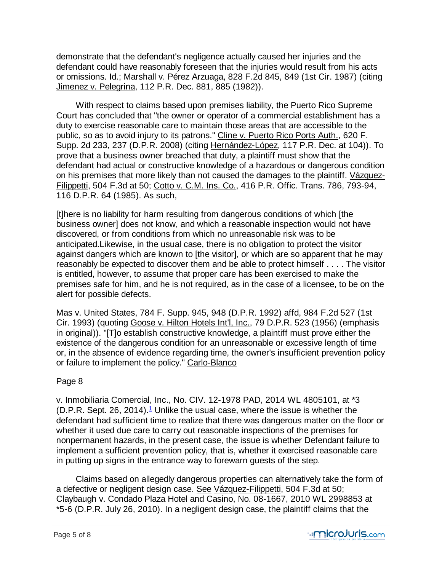demonstrate that the defendant's negligence actually caused her injuries and the defendant could have reasonably foreseen that the injuries would result from his acts or omissions. Id.; Marshall v. Pérez Arzuaga, 828 F.2d 845, 849 (1st Cir. 1987) (citing Jimenez v. Pelegrina, 112 P.R. Dec. 881, 885 (1982)).

 With respect to claims based upon premises liability, the Puerto Rico Supreme Court has concluded that "the owner or operator of a commercial establishment has a duty to exercise reasonable care to maintain those areas that are accessible to the public, so as to avoid injury to its patrons." Cline v. Puerto Rico Ports Auth., 620 F. Supp. 2d 233, 237 (D.P.R. 2008) (citing Hernández-López, 117 P.R. Dec. at 104)). To prove that a business owner breached that duty, a plaintiff must show that the defendant had actual or constructive knowledge of a hazardous or dangerous condition on his premises that more likely than not caused the damages to the plaintiff. Vázquez-Filippetti, 504 F.3d at 50; Cotto v. C.M. Ins. Co., 416 P.R. Offic. Trans. 786, 793-94, 116 D.P.R. 64 (1985). As such,

[t]here is no liability for harm resulting from dangerous conditions of which [the business owner] does not know, and which a reasonable inspection would not have discovered, or from conditions from which no unreasonable risk was to be anticipated.Likewise, in the usual case, there is no obligation to protect the visitor against dangers which are known to [the visitor], or which are so apparent that he may reasonably be expected to discover them and be able to protect himself . . . . The visitor is entitled, however, to assume that proper care has been exercised to make the premises safe for him, and he is not required, as in the case of a licensee, to be on the alert for possible defects.

Mas v. United States, 784 F. Supp. 945, 948 (D.P.R. 1992) affd, 984 F.2d 527 (1st Cir. 1993) (quoting Goose v. Hilton Hotels Int'l, Inc., 79 D.P.R. 523 (1956) (emphasis in original)). "[T]o establish constructive knowledge, a plaintiff must prove either the existence of the dangerous condition for an unreasonable or excessive length of time or, in the absence of evidence regarding time, the owner's insufficient prevention policy or failure to implement the policy." Carlo-Blanco

## Page 8

v. Inmobiliaria Comercial, Inc., No. CIV. 12-1978 PAD, 2014 WL 4805101, at \*3 (D.P.R. Sept. 26, 2014). $\frac{1}{2}$  Unlike the usual case, where the issue is whether the defendant had sufficient time to realize that there was dangerous matter on the floor or whether it used due care to carry out reasonable inspections of the premises for nonpermanent hazards, in the present case, the issue is whether Defendant failure to implement a sufficient prevention policy, that is, whether it exercised reasonable care in putting up signs in the entrance way to forewarn guests of the step.

 Claims based on allegedly dangerous properties can alternatively take the form of a defective or negligent design case. See Vázquez-Filippetti, 504 F.3d at 50; Claybaugh v. Condado Plaza Hotel and Casino, No. 08-1667, 2010 WL 2998853 at \*5-6 (D.P.R. July 26, 2010). In a negligent design case, the plaintiff claims that the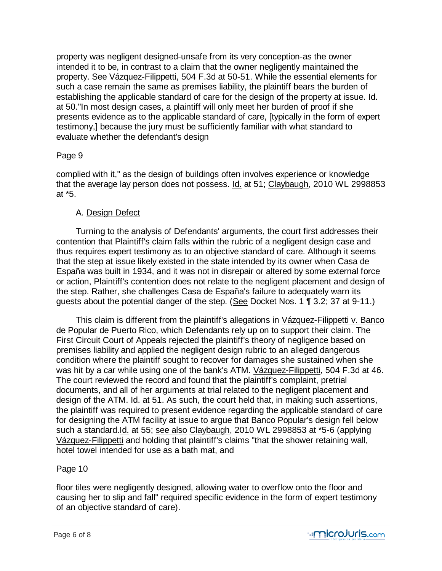property was negligent designed-unsafe from its very conception-as the owner intended it to be, in contrast to a claim that the owner negligently maintained the property. See Vázquez-Filippetti, 504 F.3d at 50-51. While the essential elements for such a case remain the same as premises liability, the plaintiff bears the burden of establishing the applicable standard of care for the design of the property at issue. Id. at 50."In most design cases, a plaintiff will only meet her burden of proof if she presents evidence as to the applicable standard of care, [typically in the form of expert testimony,] because the jury must be sufficiently familiar with what standard to evaluate whether the defendant's design

## Page 9

complied with it," as the design of buildings often involves experience or knowledge that the average lay person does not possess. Id. at 51; Claybaugh, 2010 WL 2998853 at \*5.

## A. Design Defect

 Turning to the analysis of Defendants' arguments, the court first addresses their contention that Plaintiff's claim falls within the rubric of a negligent design case and thus requires expert testimony as to an objective standard of care. Although it seems that the step at issue likely existed in the state intended by its owner when Casa de España was built in 1934, and it was not in disrepair or altered by some external force or action, Plaintiff's contention does not relate to the negligent placement and design of the step. Rather, she challenges Casa de España's failure to adequately warn its guests about the potential danger of the step. (See Docket Nos. 1 ¶ 3.2; 37 at 9-11.)

 This claim is different from the plaintiff's allegations in Vázquez-Filippetti v. Banco de Popular de Puerto Rico, which Defendants rely up on to support their claim. The First Circuit Court of Appeals rejected the plaintiff's theory of negligence based on premises liability and applied the negligent design rubric to an alleged dangerous condition where the plaintiff sought to recover for damages she sustained when she was hit by a car while using one of the bank's ATM. Vázquez-Filippetti, 504 F.3d at 46. The court reviewed the record and found that the plaintiff's complaint, pretrial documents, and all of her arguments at trial related to the negligent placement and design of the ATM. Id. at 51. As such, the court held that, in making such assertions, the plaintiff was required to present evidence regarding the applicable standard of care for designing the ATM facility at issue to argue that Banco Popular's design fell below such a standard.Id. at 55; see also Claybaugh, 2010 WL 2998853 at \*5-6 (applying Vázquez-Filippetti and holding that plaintiff's claims "that the shower retaining wall, hotel towel intended for use as a bath mat, and

## Page 10

floor tiles were negligently designed, allowing water to overflow onto the floor and causing her to slip and fall" required specific evidence in the form of expert testimony of an objective standard of care).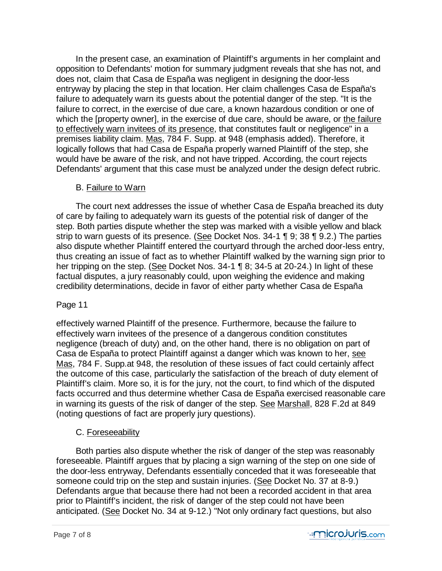In the present case, an examination of Plaintiff's arguments in her complaint and opposition to Defendants' motion for summary judgment reveals that she has not, and does not, claim that Casa de España was negligent in designing the door-less entryway by placing the step in that location. Her claim challenges Casa de España's failure to adequately warn its guests about the potential danger of the step. "It is the failure to correct, in the exercise of due care, a known hazardous condition or one of which the [property owner], in the exercise of due care, should be aware, or the failure to effectively warn invitees of its presence, that constitutes fault or negligence" in a premises liability claim. Mas, 784 F. Supp. at 948 (emphasis added). Therefore, it logically follows that had Casa de España properly warned Plaintiff of the step, she would have be aware of the risk, and not have tripped. According, the court rejects Defendants' argument that this case must be analyzed under the design defect rubric.

## B. Failure to Warn

 The court next addresses the issue of whether Casa de España breached its duty of care by failing to adequately warn its guests of the potential risk of danger of the step. Both parties dispute whether the step was marked with a visible yellow and black strip to warn guests of its presence. (See Docket Nos. 34-1 ¶ 9, 38 ¶ 9.2.) The parties also dispute whether Plaintiff entered the courtyard through the arched door-less entry, thus creating an issue of fact as to whether Plaintiff walked by the warning sign prior to her tripping on the step. (See Docket Nos. 34-1 ¶ 8; 34-5 at 20-24.) In light of these factual disputes, a jury reasonably could, upon weighing the evidence and making credibility determinations, decide in favor of either party whether Casa de España

## Page 11

effectively warned Plaintiff of the presence. Furthermore, because the failure to effectively warn invitees of the presence of a dangerous condition constitutes negligence (breach of duty) and, on the other hand, there is no obligation on part of Casa de España to protect Plaintiff against a danger which was known to her, see Mas, 784 F. Supp.at 948, the resolution of these issues of fact could certainly affect the outcome of this case, particularly the satisfaction of the breach of duty element of Plaintiff's claim. More so, it is for the jury, not the court, to find which of the disputed facts occurred and thus determine whether Casa de España exercised reasonable care in warning its guests of the risk of danger of the step. See Marshall, 828 F.2d at 849 (noting questions of fact are properly jury questions).

## C. Foreseeability

 Both parties also dispute whether the risk of danger of the step was reasonably foreseeable. Plaintiff argues that by placing a sign warning of the step on one side of the door-less entryway, Defendants essentially conceded that it was foreseeable that someone could trip on the step and sustain injuries. (See Docket No. 37 at 8-9.) Defendants argue that because there had not been a recorded accident in that area prior to Plaintiff's incident, the risk of danger of the step could not have been anticipated. (See Docket No. 34 at 9-12.) "Not only ordinary fact questions, but also